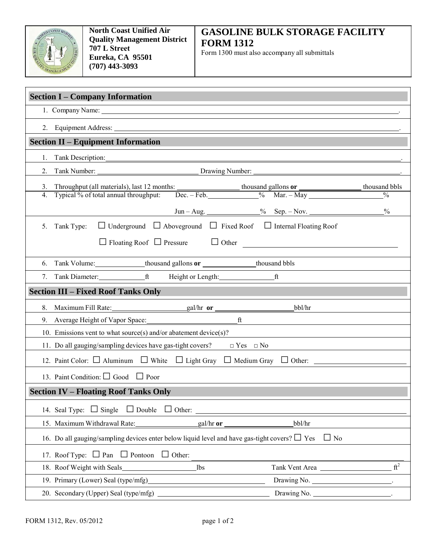

## **GASOLINE BULK STORAGE FACILITY FORM 1312**

Form 1300 must also accompany all submittals

| <b>Section I - Company Information</b>                                                                                                                                                                                        |  |  |  |
|-------------------------------------------------------------------------------------------------------------------------------------------------------------------------------------------------------------------------------|--|--|--|
| 1. Company Name: 1. 2008. The Company Name: 2008. The Company Name: 2008. The Company Name: 2008. The Company Name: 2008. The Company Name: 2008. The Company Name: 2008. The Company Name: 2008. The Company Name: 2008. The |  |  |  |
| 2. Equipment Address:                                                                                                                                                                                                         |  |  |  |
| <b>Section II – Equipment Information</b>                                                                                                                                                                                     |  |  |  |
| Tank Description:<br>1.                                                                                                                                                                                                       |  |  |  |
| 2.                                                                                                                                                                                                                            |  |  |  |
| 3.                                                                                                                                                                                                                            |  |  |  |
| 4.                                                                                                                                                                                                                            |  |  |  |
| $^{0}_{0}$                                                                                                                                                                                                                    |  |  |  |
| $\Box$ Underground $\Box$ Aboveground $\Box$ Fixed Roof $\Box$ Internal Floating Roof<br>5.<br>Tank Type:                                                                                                                     |  |  |  |
| $\Box$ Floating Roof $\Box$ Pressure $\Box$ Other                                                                                                                                                                             |  |  |  |
|                                                                                                                                                                                                                               |  |  |  |
| 6. Tank Volume: ______________thousand gallons or _____________thousand bbls                                                                                                                                                  |  |  |  |
| 7. Tank Diameter: ft Height or Length: ft                                                                                                                                                                                     |  |  |  |
| <b>Section III - Fixed Roof Tanks Only</b>                                                                                                                                                                                    |  |  |  |
| bbl/hr                                                                                                                                                                                                                        |  |  |  |
| $\mathbf{f}$ $\mathbf{f}$                                                                                                                                                                                                     |  |  |  |
| 10. Emissions vent to what source(s) and/or abatement device(s)?                                                                                                                                                              |  |  |  |
| 11. Do all gauging/sampling devices have gas-tight covers? $\Box$ Yes $\Box$ No                                                                                                                                               |  |  |  |
| 12. Paint Color: $\Box$ Aluminum $\Box$ White $\Box$ Light Gray $\Box$ Medium Gray $\Box$ Other: _____________                                                                                                                |  |  |  |
| 13. Paint Condition: $\Box$ Good $\Box$ Poor                                                                                                                                                                                  |  |  |  |
| <b>Section IV - Floating Roof Tanks Only</b>                                                                                                                                                                                  |  |  |  |
| 14. Seal Type: $\Box$ Single $\Box$ Double $\Box$ Other:                                                                                                                                                                      |  |  |  |
| bbl/hr<br>15. Maximum Withdrawal Rate:<br>$gal/hr$ or                                                                                                                                                                         |  |  |  |
| 16. Do all gauging/sampling devices enter below liquid level and have gas-tight covers? $\Box$ Yes<br>$\Box$ No                                                                                                               |  |  |  |
| $\Box$ Other:<br>17. Roof Type: $\Box$ Pan $\Box$ Pontoon                                                                                                                                                                     |  |  |  |
| ft <sup>2</sup><br>Tank Vent Area<br>18. Roof Weight with Seals<br>lbs                                                                                                                                                        |  |  |  |
| 19. Primary (Lower) Seal (type/mfg)<br>Drawing No.                                                                                                                                                                            |  |  |  |
| Drawing No.<br>20. Secondary (Upper) Seal (type/mfg)                                                                                                                                                                          |  |  |  |